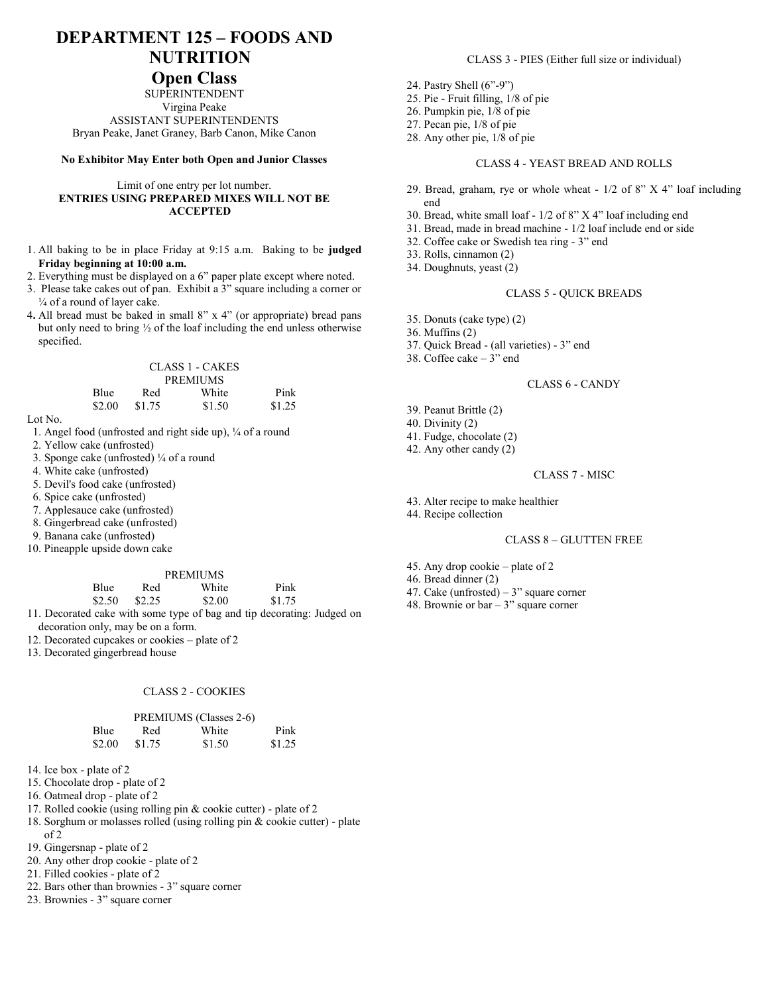# **DEPARTMENT 125 – FOODS AND NUTRITION**

## **Open Class**

SUPERINTENDENT Virgina Peake ASSISTANT SUPERINTENDENTS Bryan Peake, Janet Graney, Barb Canon, Mike Canon

#### **No Exhibitor May Enter both Open and Junior Classes**

#### Limit of one entry per lot number. **ENTRIES USING PREPARED MIXES WILL NOT BE ACCEPTED**

- 1. All baking to be in place Friday at 9:15 a.m. Baking to be **judged Friday beginning at 10:00 a.m.**
- 2. Everything must be displayed on a 6" paper plate except where noted.
- 3. Please take cakes out of pan. Exhibit a 3" square including a corner or ¼ of a round of layer cake.
- 4**.** All bread must be baked in small 8" x 4" (or appropriate) bread pans but only need to bring ½ of the loaf including the end unless otherwise specified.

|      |     | CLASS 1 - CAKES |      |
|------|-----|-----------------|------|
|      |     | <b>PREMIUMS</b> |      |
| Blue | Red | White           | Pink |

\$2.00 \$1.75 \$1.50 \$1.25

- 1. Angel food (unfrosted and right side up), ¼ of a round
- 2. Yellow cake (unfrosted)
- 3. Sponge cake (unfrosted) ¼ of a round
- 4. White cake (unfrosted)
- 5. Devil's food cake (unfrosted)
- 6. Spice cake (unfrosted)
- 7. Applesauce cake (unfrosted)
- 8. Gingerbread cake (unfrosted)
- 9. Banana cake (unfrosted)
- 10. Pineapple upside down cake

#### PREMIUMS

| Blue | Red             | White         |  | Pink   |  |
|------|-----------------|---------------|--|--------|--|
|      | $$2.50$ $$2.25$ | \$2.00        |  | \$1.75 |  |
|      |                 | $\sim$ $\sim$ |  |        |  |

- 11. Decorated cake with some type of bag and tip decorating: Judged on decoration only, may be on a form.
- 12. Decorated cupcakes or cookies plate of 2
- 13. Decorated gingerbread house

#### CLASS 2 - COOKIES

|        |        | PREMIUMS (Classes 2-6) |        |
|--------|--------|------------------------|--------|
| Blue   | Red    | White                  | Pink   |
| \$2.00 | \$1.75 | \$1.50                 | \$1.25 |

- 14. Ice box plate of 2
- 15. Chocolate drop plate of 2
- 16. Oatmeal drop plate of 2
- 17. Rolled cookie (using rolling pin & cookie cutter) plate of 2
- 18. Sorghum or molasses rolled (using rolling pin & cookie cutter) plate
- of 2
- 19. Gingersnap plate of 2 20. Any other drop cookie - plate of 2
- 21. Filled cookies plate of 2
- 22. Bars other than brownies 3" square corner
- 23. Brownies 3" square corner

#### CLASS 3 - PIES (Either full size or individual)

- 24. Pastry Shell (6"-9")
- 25. Pie Fruit filling, 1/8 of pie
- 26. Pumpkin pie, 1/8 of pie
- 27. Pecan pie, 1/8 of pie
- 28. Any other pie, 1/8 of pie

#### CLASS 4 - YEAST BREAD AND ROLLS

- 29. Bread, graham, rye or whole wheat 1/2 of 8" X 4" loaf including end
- 30. Bread, white small loaf 1/2 of 8" X 4" loaf including end
- 31. Bread, made in bread machine 1/2 loaf include end or side
- 32. Coffee cake or Swedish tea ring 3" end
- 33. Rolls, cinnamon (2)
- 34. Doughnuts, yeast (2)

#### CLASS 5 - QUICK BREADS

- 35. Donuts (cake type) (2)
- 36. Muffins (2)
- 37. Quick Bread (all varieties) 3" end
- 38. Coffee cake 3" end

#### CLASS 6 - CANDY

- 39. Peanut Brittle (2)
- 40. Divinity (2)
- 41. Fudge, chocolate (2)
- 42. Any other candy (2)

#### CLASS 7 - MISC

- 43. Alter recipe to make healthier
- 44. Recipe collection

#### CLASS 8 – GLUTTEN FREE

- 45. Any drop cookie plate of 2
- 46. Bread dinner (2)
- 47. Cake (unfrosted)  $-3$ " square corner
- 48. Brownie or  $bar 3$ " square corner